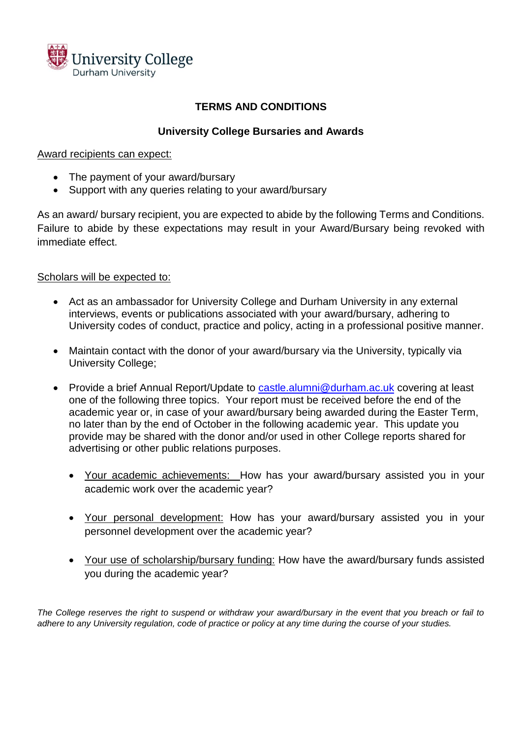

# **TERMS AND CONDITIONS**

### **University College Bursaries and Awards**

### Award recipients can expect:

- The payment of your award/bursary
- Support with any queries relating to your award/bursary

As an award/ bursary recipient, you are expected to abide by the following Terms and Conditions. Failure to abide by these expectations may result in your Award/Bursary being revoked with immediate effect.

### Scholars will be expected to:

- Act as an ambassador for University College and Durham University in any external interviews, events or publications associated with your award/bursary, adhering to University codes of conduct, practice and policy, acting in a professional positive manner.
- Maintain contact with the donor of your award/bursary via the University, typically via University College;
- Provide a brief Annual Report/Update to [castle.alumni@durham.ac.uk](mailto:castle.alumni@durham.ac.uk) covering at least one of the following three topics. Your report must be received before the end of the academic year or, in case of your award/bursary being awarded during the Easter Term, no later than by the end of October in the following academic year. This update you provide may be shared with the donor and/or used in other College reports shared for advertising or other public relations purposes.
	- Your academic achievements: How has your award/bursary assisted you in your academic work over the academic year?
	- Your personal development: How has your award/bursary assisted you in your personnel development over the academic year?
	- Your use of scholarship/bursary funding: How have the award/bursary funds assisted you during the academic year?

*The College reserves the right to suspend or withdraw your award/bursary in the event that you breach or fail to adhere to any University regulation, code of practice or policy at any time during the course of your studies.*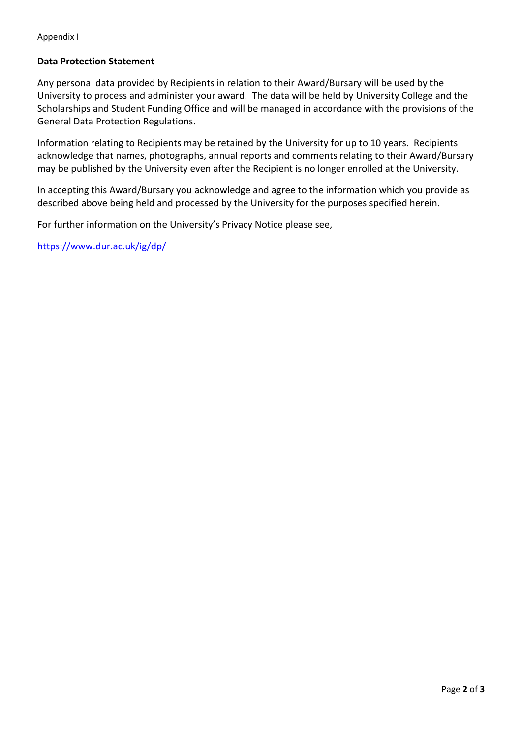Appendix I

#### **Data Protection Statement**

Any personal data provided by Recipients in relation to their Award/Bursary will be used by the University to process and administer your award. The data will be held by University College and the Scholarships and Student Funding Office and will be managed in accordance with the provisions of the General Data Protection Regulations.

Information relating to Recipients may be retained by the University for up to 10 years. Recipients acknowledge that names, photographs, annual reports and comments relating to their Award/Bursary may be published by the University even after the Recipient is no longer enrolled at the University.

In accepting this Award/Bursary you acknowledge and agree to the information which you provide as described above being held and processed by the University for the purposes specified herein.

For further information on the University's Privacy Notice please see,

<https://www.dur.ac.uk/ig/dp/>